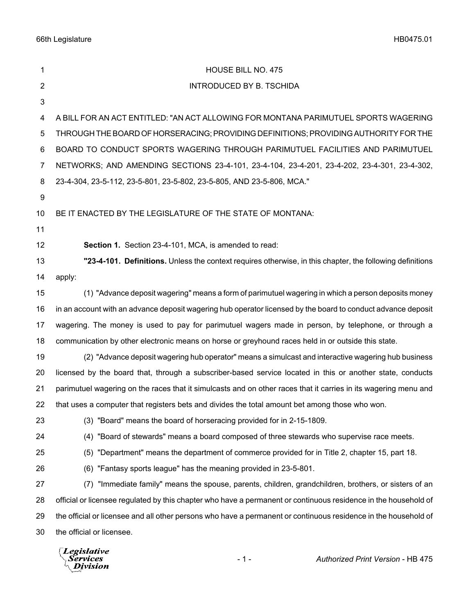| 1  | HOUSE BILL NO. 475                                                                                              |  |  |
|----|-----------------------------------------------------------------------------------------------------------------|--|--|
| 2  | <b>INTRODUCED BY B. TSCHIDA</b>                                                                                 |  |  |
| 3  |                                                                                                                 |  |  |
| 4  | A BILL FOR AN ACT ENTITLED: "AN ACT ALLOWING FOR MONTANA PARIMUTUEL SPORTS WAGERING                             |  |  |
| 5  | THROUGH THE BOARD OF HORSERACING; PROVIDING DEFINITIONS; PROVIDING AUTHORITY FOR THE                            |  |  |
| 6  | BOARD TO CONDUCT SPORTS WAGERING THROUGH PARIMUTUEL FACILITIES AND PARIMUTUEL                                   |  |  |
| 7  | NETWORKS; AND AMENDING SECTIONS 23-4-101, 23-4-104, 23-4-201, 23-4-202, 23-4-301, 23-4-302,                     |  |  |
| 8  | 23-4-304, 23-5-112, 23-5-801, 23-5-802, 23-5-805, AND 23-5-806, MCA."                                           |  |  |
| 9  |                                                                                                                 |  |  |
| 10 | BE IT ENACTED BY THE LEGISLATURE OF THE STATE OF MONTANA:                                                       |  |  |
| 11 |                                                                                                                 |  |  |
| 12 | Section 1. Section 23-4-101, MCA, is amended to read:                                                           |  |  |
| 13 | "23-4-101. Definitions. Unless the context requires otherwise, in this chapter, the following definitions       |  |  |
| 14 | apply:                                                                                                          |  |  |
| 15 | (1) "Advance deposit wagering" means a form of parimutuel wagering in which a person deposits money             |  |  |
| 16 | in an account with an advance deposit wagering hub operator licensed by the board to conduct advance deposit    |  |  |
| 17 | wagering. The money is used to pay for parimutuel wagers made in person, by telephone, or through a             |  |  |
| 18 | communication by other electronic means on horse or greyhound races held in or outside this state.              |  |  |
| 19 | (2) "Advance deposit wagering hub operator" means a simulcast and interactive wagering hub business             |  |  |
| 20 | licensed by the board that, through a subscriber-based service located in this or another state, conducts       |  |  |
| 21 | parimutuel wagering on the races that it simulcasts and on other races that it carries in its wagering menu and |  |  |
| 22 | that uses a computer that registers bets and divides the total amount bet among those who won.                  |  |  |
| 23 | (3) "Board" means the board of horseracing provided for in 2-15-1809.                                           |  |  |
| 24 | (4) "Board of stewards" means a board composed of three stewards who supervise race meets.                      |  |  |
| 25 | (5) "Department" means the department of commerce provided for in Title 2, chapter 15, part 18.                 |  |  |
| 26 | (6) "Fantasy sports league" has the meaning provided in 23-5-801.                                               |  |  |
| 27 | "Immediate family" means the spouse, parents, children, grandchildren, brothers, or sisters of an<br>(7)        |  |  |
| 28 | official or licensee regulated by this chapter who have a permanent or continuous residence in the household of |  |  |
| 29 | the official or licensee and all other persons who have a permanent or continuous residence in the household of |  |  |
| 30 | the official or licensee.                                                                                       |  |  |
|    | $\Box$ eqislative                                                                                               |  |  |

Legislative<br><sub>\</sub>Services<br><sup>\</sup>\_Division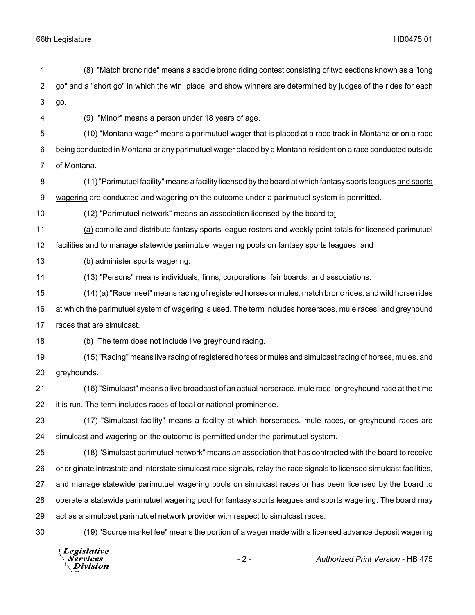go. (9) "Minor" means a person under 18 years of age. (10) "Montana wager" means a parimutuel wager that is placed at a race track in Montana or on a race being conducted in Montana or any parimutuel wager placed by a Montana resident on a race conducted outside of Montana. (11) "Parimutuel facility" means a facility licensed by the board at which fantasy sports leagues and sports wagering are conducted and wagering on the outcome under a parimutuel system is permitted. (12) "Parimutuel network" means an association licensed by the board to: (a) compile and distribute fantasy sports league rosters and weekly point totals for licensed parimutuel facilities and to manage statewide parimutuel wagering pools on fantasy sports leagues; and (b) administer sports wagering. (13) "Persons" means individuals, firms, corporations, fair boards, and associations. (14) (a) "Race meet" means racing of registered horses or mules, match bronc rides, and wild horse rides at which the parimutuel system of wagering is used. The term includes horseraces, mule races, and greyhound races that are simulcast. (b) The term does not include live greyhound racing. (15) "Racing" means live racing of registered horses or mules and simulcast racing of horses, mules, and greyhounds. (16) "Simulcast" means a live broadcast of an actual horserace, mule race, or greyhound race at the time it is run. The term includes races of local or national prominence. (17) "Simulcast facility" means a facility at which horseraces, mule races, or greyhound races are simulcast and wagering on the outcome is permitted under the parimutuel system. (18) "Simulcast parimutuel network" means an association that has contracted with the board to receive or originate intrastate and interstate simulcast race signals, relay the race signals to licensed simulcast facilities, and manage statewide parimutuel wagering pools on simulcast races or has been licensed by the board to operate a statewide parimutuel wagering pool for fantasy sports leagues and sports wagering. The board may act as a simulcast parimutuel network provider with respect to simulcast races. (19) "Source market fee" means the portion of a wager made with a licensed advance deposit wagering Legislative - 2 - *Authorized Print Version* - HB 475Services **Division** 

(8) "Match bronc ride" means a saddle bronc riding contest consisting of two sections known as a "long

go" and a "short go" in which the win, place, and show winners are determined by judges of the rides for each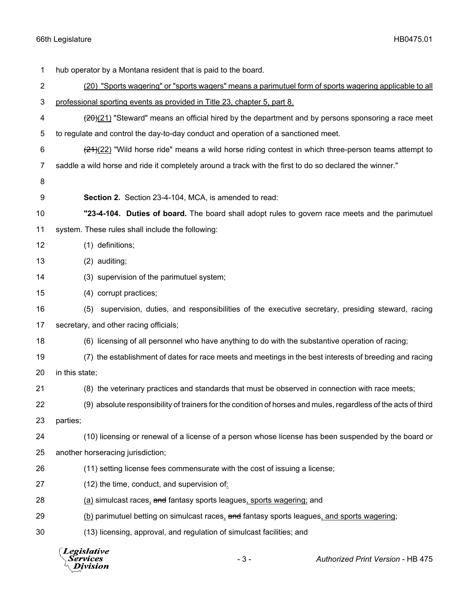| 1              | hub operator by a Montana resident that is paid to the board.                                           |       |                                                                                                                        |  |  |
|----------------|---------------------------------------------------------------------------------------------------------|-------|------------------------------------------------------------------------------------------------------------------------|--|--|
| $\overline{c}$ |                                                                                                         |       | (20) "Sports wagering" or "sports wagers" means a parimutuel form of sports wagering applicable to all                 |  |  |
| 3              | professional sporting events as provided in Title 23, chapter 5, part 8.                                |       |                                                                                                                        |  |  |
| 4              |                                                                                                         |       | $\frac{(20)(21)}{20}$ "Steward" means an official hired by the department and by persons sponsoring a race meet        |  |  |
| 5              | to regulate and control the day-to-day conduct and operation of a sanctioned meet.                      |       |                                                                                                                        |  |  |
| 6              |                                                                                                         |       | $\frac{(21)(22)}{(21)(22)}$ "Wild horse ride" means a wild horse riding contest in which three-person teams attempt to |  |  |
| 7              | saddle a wild horse and ride it completely around a track with the first to do so declared the winner." |       |                                                                                                                        |  |  |
| 8              |                                                                                                         |       |                                                                                                                        |  |  |
| 9              | Section 2. Section 23-4-104, MCA, is amended to read:                                                   |       |                                                                                                                        |  |  |
| 10             |                                                                                                         |       | "23-4-104. Duties of board. The board shall adopt rules to govern race meets and the parimutuel                        |  |  |
| 11             | system. These rules shall include the following:                                                        |       |                                                                                                                        |  |  |
| 12             | (1) definitions;                                                                                        |       |                                                                                                                        |  |  |
| 13             | $(2)$ auditing;                                                                                         |       |                                                                                                                        |  |  |
| 14             | (3) supervision of the parimutuel system;                                                               |       |                                                                                                                        |  |  |
| 15             | (4) corrupt practices;                                                                                  |       |                                                                                                                        |  |  |
| 16             |                                                                                                         |       | (5) supervision, duties, and responsibilities of the executive secretary, presiding steward, racing                    |  |  |
| 17             | secretary, and other racing officials;                                                                  |       |                                                                                                                        |  |  |
| 18             |                                                                                                         |       | (6) licensing of all personnel who have anything to do with the substantive operation of racing;                       |  |  |
| 19             |                                                                                                         |       | (7) the establishment of dates for race meets and meetings in the best interests of breeding and racing                |  |  |
| 20             | in this state;                                                                                          |       |                                                                                                                        |  |  |
| 21             |                                                                                                         |       | (8) the veterinary practices and standards that must be observed in connection with race meets;                        |  |  |
| 22             |                                                                                                         |       | (9) absolute responsibility of trainers for the condition of horses and mules, regardless of the acts of third         |  |  |
| 23             | parties;                                                                                                |       |                                                                                                                        |  |  |
| 24             |                                                                                                         |       | (10) licensing or renewal of a license of a person whose license has been suspended by the board or                    |  |  |
| 25             | another horseracing jurisdiction;                                                                       |       |                                                                                                                        |  |  |
| 26             | (11) setting license fees commensurate with the cost of issuing a license;                              |       |                                                                                                                        |  |  |
| 27             | (12) the time, conduct, and supervision of:                                                             |       |                                                                                                                        |  |  |
| 28             | (a) simulcast races, and fantasy sports leagues, sports wagering; and                                   |       |                                                                                                                        |  |  |
| 29             | (b) parimutuel betting on simulcast races, and fantasy sports leagues, and sports wagering;             |       |                                                                                                                        |  |  |
| 30             | (13) licensing, approval, and regulation of simulcast facilities; and                                   |       |                                                                                                                        |  |  |
|                | <b>Legislative</b><br><i>\ervices</i><br>ivision                                                        | $-3-$ | Authorized Print Version - HB 475                                                                                      |  |  |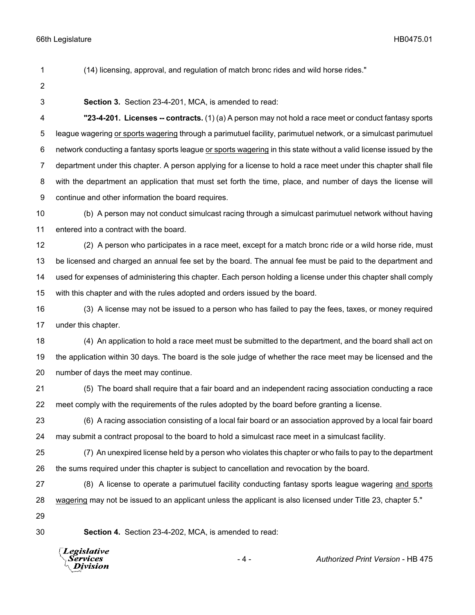(14) licensing, approval, and regulation of match bronc rides and wild horse rides."

- 
- 

**Section 3.** Section 23-4-201, MCA, is amended to read:

 **"23-4-201. Licenses -- contracts.** (1) (a) A person may not hold a race meet or conduct fantasy sports league wagering or sports wagering through a parimutuel facility, parimutuel network, or a simulcast parimutuel network conducting a fantasy sports league or sports wagering in this state without a valid license issued by the department under this chapter. A person applying for a license to hold a race meet under this chapter shall file with the department an application that must set forth the time, place, and number of days the license will continue and other information the board requires.

 (b) A person may not conduct simulcast racing through a simulcast parimutuel network without having entered into a contract with the board.

 (2) A person who participates in a race meet, except for a match bronc ride or a wild horse ride, must be licensed and charged an annual fee set by the board. The annual fee must be paid to the department and used for expenses of administering this chapter. Each person holding a license under this chapter shall comply with this chapter and with the rules adopted and orders issued by the board.

 (3) A license may not be issued to a person who has failed to pay the fees, taxes, or money required under this chapter.

 (4) An application to hold a race meet must be submitted to the department, and the board shall act on the application within 30 days. The board is the sole judge of whether the race meet may be licensed and the number of days the meet may continue.

 (5) The board shall require that a fair board and an independent racing association conducting a race meet comply with the requirements of the rules adopted by the board before granting a license.

 (6) A racing association consisting of a local fair board or an association approved by a local fair board may submit a contract proposal to the board to hold a simulcast race meet in a simulcast facility.

 (7) An unexpired license held by a person who violates this chapter or who fails to pay to the department the sums required under this chapter is subject to cancellation and revocation by the board.

 (8) A license to operate a parimutuel facility conducting fantasy sports league wagering and sports wagering may not be issued to an applicant unless the applicant is also licensed under Title 23, chapter 5."

**Section 4.** Section 23-4-202, MCA, is amended to read:

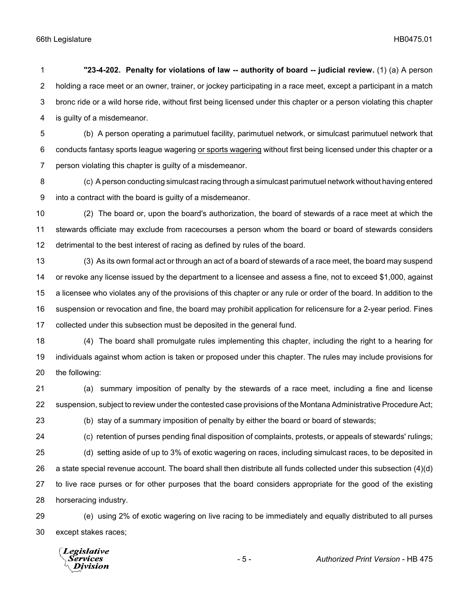**"23-4-202. Penalty for violations of law -- authority of board -- judicial review.** (1) (a) A person holding a race meet or an owner, trainer, or jockey participating in a race meet, except a participant in a match bronc ride or a wild horse ride, without first being licensed under this chapter or a person violating this chapter is guilty of a misdemeanor.

 (b) A person operating a parimutuel facility, parimutuel network, or simulcast parimutuel network that 6 conducts fantasy sports league wagering or sports wagering without first being licensed under this chapter or a person violating this chapter is guilty of a misdemeanor.

 (c) A person conducting simulcast racing through a simulcast parimutuel network without having entered into a contract with the board is guilty of a misdemeanor.

 (2) The board or, upon the board's authorization, the board of stewards of a race meet at which the stewards officiate may exclude from racecourses a person whom the board or board of stewards considers detrimental to the best interest of racing as defined by rules of the board.

 (3) As its own formal act or through an act of a board of stewards of a race meet, the board may suspend or revoke any license issued by the department to a licensee and assess a fine, not to exceed \$1,000, against a licensee who violates any of the provisions of this chapter or any rule or order of the board. In addition to the suspension or revocation and fine, the board may prohibit application for relicensure for a 2-year period. Fines collected under this subsection must be deposited in the general fund.

 (4) The board shall promulgate rules implementing this chapter, including the right to a hearing for individuals against whom action is taken or proposed under this chapter. The rules may include provisions for the following:

 (a) summary imposition of penalty by the stewards of a race meet, including a fine and license suspension, subject to review under the contested case provisions of the Montana Administrative Procedure Act;

(c) retention of purses pending final disposition of complaints, protests, or appeals of stewards' rulings;

(b) stay of a summary imposition of penalty by either the board or board of stewards;

 (d) setting aside of up to 3% of exotic wagering on races, including simulcast races, to be deposited in a state special revenue account. The board shall then distribute all funds collected under this subsection (4)(d) to live race purses or for other purposes that the board considers appropriate for the good of the existing horseracing industry.

 (e) using 2% of exotic wagering on live racing to be immediately and equally distributed to all purses except stakes races;

Legislative Services **Division**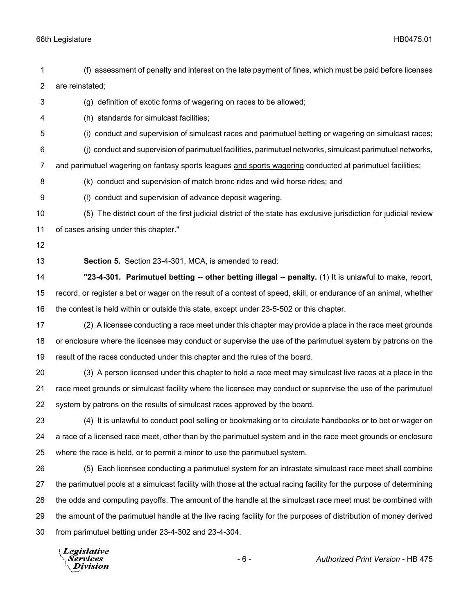| 1              | (f) assessment of penalty and interest on the late payment of fines, which must be paid before licenses              |
|----------------|----------------------------------------------------------------------------------------------------------------------|
| $\overline{2}$ | are reinstated;                                                                                                      |
| 3              | (g) definition of exotic forms of wagering on races to be allowed;                                                   |
| 4              | (h) standards for simulcast facilities;                                                                              |
| 5              | (i) conduct and supervision of simulcast races and parimutuel betting or wagering on simulcast races;                |
| 6              | (i) conduct and supervision of parimutuel facilities, parimutuel networks, simulcast parimutuel networks,            |
| 7              | and parimutuel wagering on fantasy sports leagues and sports wagering conducted at parimutuel facilities;            |
| 8              | (k) conduct and supervision of match bronc rides and wild horse rides; and                                           |
| 9              | (I) conduct and supervision of advance deposit wagering.                                                             |
| 10             | (5) The district court of the first judicial district of the state has exclusive jurisdiction for judicial review    |
| 11             | of cases arising under this chapter."                                                                                |
| 12             |                                                                                                                      |
| 13             | Section 5. Section 23-4-301, MCA, is amended to read:                                                                |
| 14             | "23-4-301. Parimutuel betting -- other betting illegal -- penalty. (1) It is unlawful to make, report,               |
| 15             | record, or register a bet or wager on the result of a contest of speed, skill, or endurance of an animal, whether    |
| 16             | the contest is held within or outside this state, except under 23-5-502 or this chapter.                             |
| 17             | (2) A licensee conducting a race meet under this chapter may provide a place in the race meet grounds                |
| 18             | or enclosure where the licensee may conduct or supervise the use of the parimutuel system by patrons on the          |
| 19             | result of the races conducted under this chapter and the rules of the board.                                         |
| 20             | (3) A person licensed under this chapter to hold a race meet may simulcast live races at a place in the              |
| 21             | race meet grounds or simulcast facility where the licensee may conduct or supervise the use of the parimutuel        |
| 22             | system by patrons on the results of simulcast races approved by the board.                                           |
| 23             | (4) It is unlawful to conduct pool selling or bookmaking or to circulate handbooks or to bet or wager on             |
| 24             | a race of a licensed race meet, other than by the parimutuel system and in the race meet grounds or enclosure        |
| 25             | where the race is held, or to permit a minor to use the parimutuel system.                                           |
| 26             | (5) Each licensee conducting a parimutuel system for an intrastate simulcast race meet shall combine                 |
| 27             | the parimutuel pools at a simulcast facility with those at the actual racing facility for the purpose of determining |
| 28             | the odds and computing payoffs. The amount of the handle at the simulcast race meet must be combined with            |
| 29             | the amount of the parimutuel handle at the live racing facility for the purposes of distribution of money derived    |
| 30             | from parimutuel betting under 23-4-302 and 23-4-304.                                                                 |
|                | Legislative<br>$-6-$<br>Authorized Print Version - HB 475<br>Services<br>ivision                                     |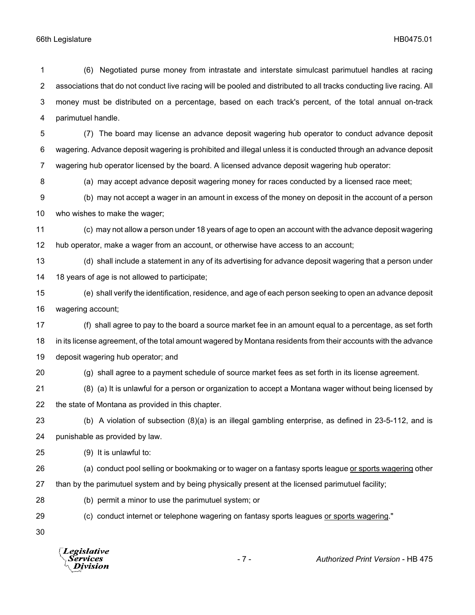(6) Negotiated purse money from intrastate and interstate simulcast parimutuel handles at racing associations that do not conduct live racing will be pooled and distributed to all tracks conducting live racing. All money must be distributed on a percentage, based on each track's percent, of the total annual on-track parimutuel handle. (7) The board may license an advance deposit wagering hub operator to conduct advance deposit wagering. Advance deposit wagering is prohibited and illegal unless it is conducted through an advance deposit wagering hub operator licensed by the board. A licensed advance deposit wagering hub operator: (a) may accept advance deposit wagering money for races conducted by a licensed race meet; (b) may not accept a wager in an amount in excess of the money on deposit in the account of a person who wishes to make the wager; (c) may not allow a person under 18 years of age to open an account with the advance deposit wagering hub operator, make a wager from an account, or otherwise have access to an account; (d) shall include a statement in any of its advertising for advance deposit wagering that a person under 18 years of age is not allowed to participate; (e) shall verify the identification, residence, and age of each person seeking to open an advance deposit wagering account; (f) shall agree to pay to the board a source market fee in an amount equal to a percentage, as set forth in its license agreement, of the total amount wagered by Montana residents from their accounts with the advance deposit wagering hub operator; and (g) shall agree to a payment schedule of source market fees as set forth in its license agreement. (8) (a) It is unlawful for a person or organization to accept a Montana wager without being licensed by the state of Montana as provided in this chapter. (b) A violation of subsection (8)(a) is an illegal gambling enterprise, as defined in 23-5-112, and is punishable as provided by law. (9) It is unlawful to: 26 (a) conduct pool selling or bookmaking or to wager on a fantasy sports league or sports wagering other than by the parimutuel system and by being physically present at the licensed parimutuel facility; (b) permit a minor to use the parimutuel system; or (c) conduct internet or telephone wagering on fantasy sports leagues or sports wagering." 

**Legislative** Division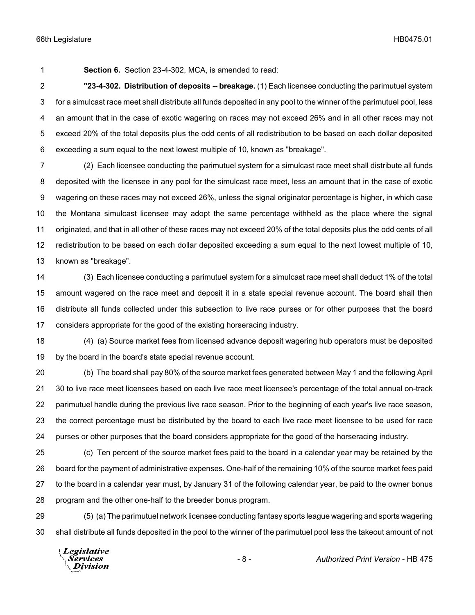**Section 6.** Section 23-4-302, MCA, is amended to read:

 **"23-4-302. Distribution of deposits -- breakage.** (1) Each licensee conducting the parimutuel system for a simulcast race meet shall distribute all funds deposited in any pool to the winner of the parimutuel pool, less an amount that in the case of exotic wagering on races may not exceed 26% and in all other races may not exceed 20% of the total deposits plus the odd cents of all redistribution to be based on each dollar deposited exceeding a sum equal to the next lowest multiple of 10, known as "breakage".

 (2) Each licensee conducting the parimutuel system for a simulcast race meet shall distribute all funds deposited with the licensee in any pool for the simulcast race meet, less an amount that in the case of exotic wagering on these races may not exceed 26%, unless the signal originator percentage is higher, in which case the Montana simulcast licensee may adopt the same percentage withheld as the place where the signal originated, and that in all other of these races may not exceed 20% of the total deposits plus the odd cents of all redistribution to be based on each dollar deposited exceeding a sum equal to the next lowest multiple of 10, known as "breakage".

 (3) Each licensee conducting a parimutuel system for a simulcast race meet shall deduct 1% of the total amount wagered on the race meet and deposit it in a state special revenue account. The board shall then distribute all funds collected under this subsection to live race purses or for other purposes that the board considers appropriate for the good of the existing horseracing industry.

 (4) (a) Source market fees from licensed advance deposit wagering hub operators must be deposited by the board in the board's state special revenue account.

 (b) The board shall pay 80% of the source market fees generated between May 1 and the following April 30 to live race meet licensees based on each live race meet licensee's percentage of the total annual on-track parimutuel handle during the previous live race season. Prior to the beginning of each year's live race season, the correct percentage must be distributed by the board to each live race meet licensee to be used for race purses or other purposes that the board considers appropriate for the good of the horseracing industry.

 (c) Ten percent of the source market fees paid to the board in a calendar year may be retained by the board for the payment of administrative expenses. One-half of the remaining 10% of the source market fees paid to the board in a calendar year must, by January 31 of the following calendar year, be paid to the owner bonus program and the other one-half to the breeder bonus program.

 (5) (a) The parimutuel network licensee conducting fantasy sports league wagering and sports wagering shall distribute all funds deposited in the pool to the winner of the parimutuel pool less the takeout amount of not

Legislative *Services* **Division**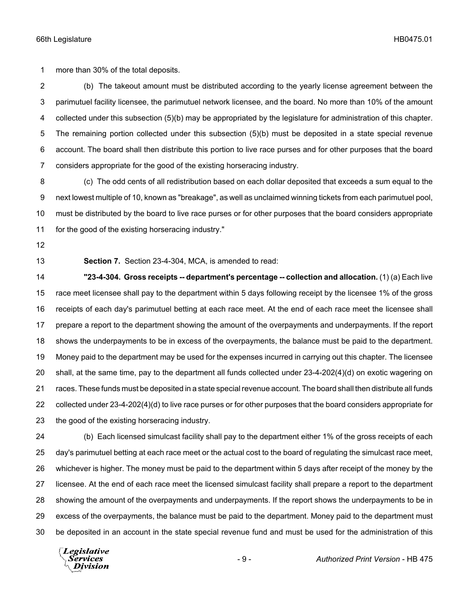more than 30% of the total deposits.

 (b) The takeout amount must be distributed according to the yearly license agreement between the parimutuel facility licensee, the parimutuel network licensee, and the board. No more than 10% of the amount collected under this subsection (5)(b) may be appropriated by the legislature for administration of this chapter. The remaining portion collected under this subsection (5)(b) must be deposited in a state special revenue account. The board shall then distribute this portion to live race purses and for other purposes that the board considers appropriate for the good of the existing horseracing industry.

 (c) The odd cents of all redistribution based on each dollar deposited that exceeds a sum equal to the next lowest multiple of 10, known as "breakage", as well as unclaimed winning tickets from each parimutuel pool, must be distributed by the board to live race purses or for other purposes that the board considers appropriate for the good of the existing horseracing industry."

**Section 7.** Section 23-4-304, MCA, is amended to read:

 **"23-4-304. Gross receipts -- department's percentage -- collection and allocation.** (1) (a) Each live race meet licensee shall pay to the department within 5 days following receipt by the licensee 1% of the gross receipts of each day's parimutuel betting at each race meet. At the end of each race meet the licensee shall prepare a report to the department showing the amount of the overpayments and underpayments. If the report shows the underpayments to be in excess of the overpayments, the balance must be paid to the department. Money paid to the department may be used for the expenses incurred in carrying out this chapter. The licensee shall, at the same time, pay to the department all funds collected under 23-4-202(4)(d) on exotic wagering on races. These funds must be deposited in a state special revenue account. The board shall then distribute all funds collected under 23-4-202(4)(d) to live race purses or for other purposes that the board considers appropriate for the good of the existing horseracing industry.

 (b) Each licensed simulcast facility shall pay to the department either 1% of the gross receipts of each day's parimutuel betting at each race meet or the actual cost to the board of regulating the simulcast race meet, whichever is higher. The money must be paid to the department within 5 days after receipt of the money by the licensee. At the end of each race meet the licensed simulcast facility shall prepare a report to the department showing the amount of the overpayments and underpayments. If the report shows the underpayments to be in excess of the overpayments, the balance must be paid to the department. Money paid to the department must be deposited in an account in the state special revenue fund and must be used for the administration of this

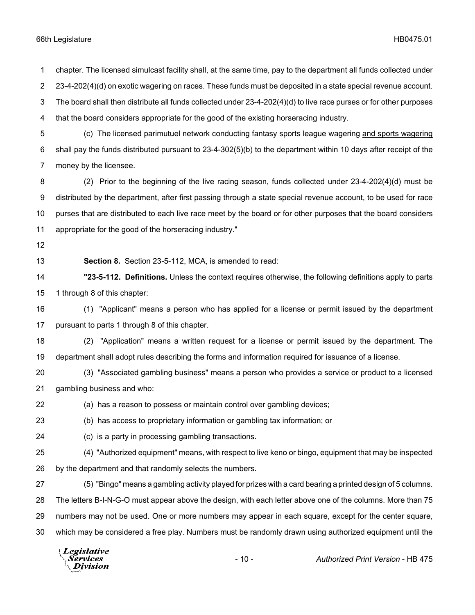The board shall then distribute all funds collected under 23-4-202(4)(d) to live race purses or for other purposes that the board considers appropriate for the good of the existing horseracing industry. (c) The licensed parimutuel network conducting fantasy sports league wagering and sports wagering shall pay the funds distributed pursuant to 23-4-302(5)(b) to the department within 10 days after receipt of the money by the licensee. (2) Prior to the beginning of the live racing season, funds collected under 23-4-202(4)(d) must be distributed by the department, after first passing through a state special revenue account, to be used for race purses that are distributed to each live race meet by the board or for other purposes that the board considers appropriate for the good of the horseracing industry." **Section 8.** Section 23-5-112, MCA, is amended to read: **"23-5-112. Definitions.** Unless the context requires otherwise, the following definitions apply to parts 1 through 8 of this chapter: (1) "Applicant" means a person who has applied for a license or permit issued by the department pursuant to parts 1 through 8 of this chapter. (2) "Application" means a written request for a license or permit issued by the department. The department shall adopt rules describing the forms and information required for issuance of a license. (3) "Associated gambling business" means a person who provides a service or product to a licensed gambling business and who: (a) has a reason to possess or maintain control over gambling devices; (b) has access to proprietary information or gambling tax information; or (c) is a party in processing gambling transactions. (4) "Authorized equipment" means, with respect to live keno or bingo, equipment that may be inspected by the department and that randomly selects the numbers. (5) "Bingo" means a gambling activity played for prizes with a card bearing a printed design of 5 columns. The letters B-I-N-G-O must appear above the design, with each letter above one of the columns. More than 75 numbers may not be used. One or more numbers may appear in each square, except for the center square, which may be considered a free play. Numbers must be randomly drawn using authorized equipment until the

chapter. The licensed simulcast facility shall, at the same time, pay to the department all funds collected under

2 23-4-202(4)(d) on exotic wagering on races. These funds must be deposited in a state special revenue account.

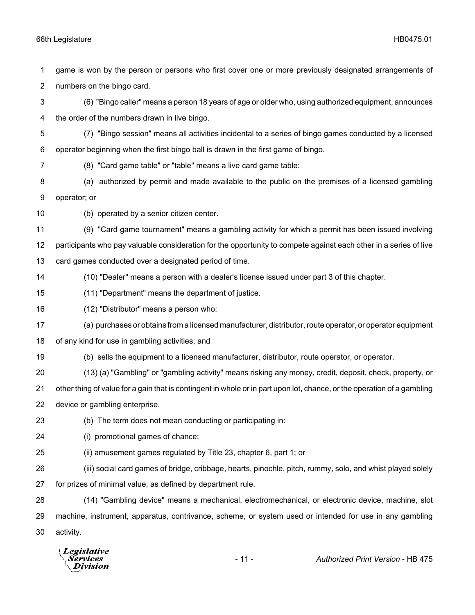game is won by the person or persons who first cover one or more previously designated arrangements of numbers on the bingo card.

 (6) "Bingo caller" means a person 18 years of age or older who, using authorized equipment, announces the order of the numbers drawn in live bingo.

- (7) "Bingo session" means all activities incidental to a series of bingo games conducted by a licensed operator beginning when the first bingo ball is drawn in the first game of bingo.
- 
- (8) "Card game table" or "table" means a live card game table:
- (a) authorized by permit and made available to the public on the premises of a licensed gambling operator; or
- (b) operated by a senior citizen center.

(9) "Card game tournament" means a gambling activity for which a permit has been issued involving

participants who pay valuable consideration for the opportunity to compete against each other in a series of live

- card games conducted over a designated period of time.
- (10) "Dealer" means a person with a dealer's license issued under part 3 of this chapter.
- (11) "Department" means the department of justice.
- (12) "Distributor" means a person who:
- (a) purchases or obtains from a licensed manufacturer, distributor, route operator, or operator equipment
- of any kind for use in gambling activities; and
- (b) sells the equipment to a licensed manufacturer, distributor, route operator, or operator.
- (13) (a) "Gambling" or "gambling activity" means risking any money, credit, deposit, check, property, or

other thing of value for a gain that is contingent in whole or in part upon lot, chance, or the operation of a gambling

- device or gambling enterprise.
- (b) The term does not mean conducting or participating in:
- (i) promotional games of chance;
- (ii) amusement games regulated by Title 23, chapter 6, part 1; or

 (iii) social card games of bridge, cribbage, hearts, pinochle, pitch, rummy, solo, and whist played solely for prizes of minimal value, as defined by department rule.

 (14) "Gambling device" means a mechanical, electromechanical, or electronic device, machine, slot machine, instrument, apparatus, contrivance, scheme, or system used or intended for use in any gambling activity.

**Legislative** Division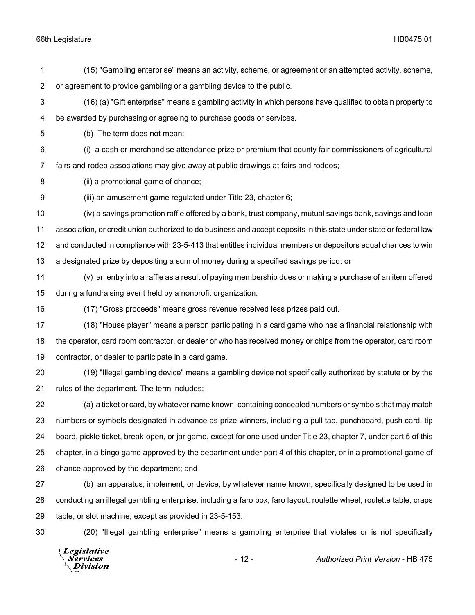(15) "Gambling enterprise" means an activity, scheme, or agreement or an attempted activity, scheme, or agreement to provide gambling or a gambling device to the public.

 (16) (a) "Gift enterprise" means a gambling activity in which persons have qualified to obtain property to be awarded by purchasing or agreeing to purchase goods or services.

(b) The term does not mean:

 (i) a cash or merchandise attendance prize or premium that county fair commissioners of agricultural fairs and rodeo associations may give away at public drawings at fairs and rodeos;

(ii) a promotional game of chance;

(iii) an amusement game regulated under Title 23, chapter 6;

 (iv) a savings promotion raffle offered by a bank, trust company, mutual savings bank, savings and loan association, or credit union authorized to do business and accept deposits in this state under state or federal law and conducted in compliance with 23-5-413 that entitles individual members or depositors equal chances to win a designated prize by depositing a sum of money during a specified savings period; or

 (v) an entry into a raffle as a result of paying membership dues or making a purchase of an item offered during a fundraising event held by a nonprofit organization.

(17) "Gross proceeds" means gross revenue received less prizes paid out.

 (18) "House player" means a person participating in a card game who has a financial relationship with the operator, card room contractor, or dealer or who has received money or chips from the operator, card room contractor, or dealer to participate in a card game.

 (19) "Illegal gambling device" means a gambling device not specifically authorized by statute or by the rules of the department. The term includes:

 (a) a ticket or card, by whatever name known, containing concealed numbers or symbols that may match numbers or symbols designated in advance as prize winners, including a pull tab, punchboard, push card, tip board, pickle ticket, break-open, or jar game, except for one used under Title 23, chapter 7, under part 5 of this chapter, in a bingo game approved by the department under part 4 of this chapter, or in a promotional game of chance approved by the department; and

 (b) an apparatus, implement, or device, by whatever name known, specifically designed to be used in conducting an illegal gambling enterprise, including a faro box, faro layout, roulette wheel, roulette table, craps table, or slot machine, except as provided in 23-5-153.

(20) "Illegal gambling enterprise" means a gambling enterprise that violates or is not specifically

Legislative Services **Division**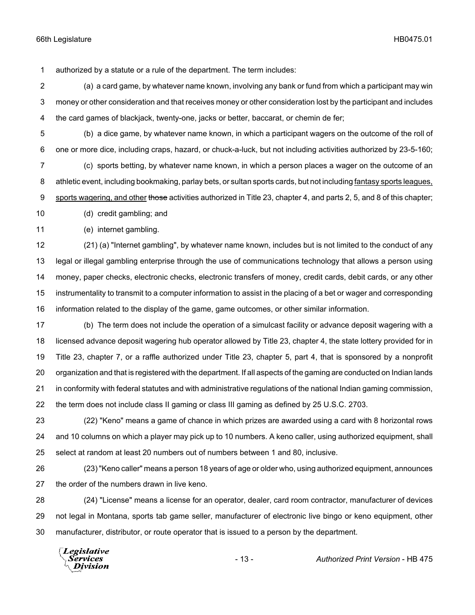authorized by a statute or a rule of the department. The term includes:

 (a) a card game, by whatever name known, involving any bank or fund from which a participant may win money or other consideration and that receives money or other consideration lost by the participant and includes the card games of blackjack, twenty-one, jacks or better, baccarat, or chemin de fer;

 (b) a dice game, by whatever name known, in which a participant wagers on the outcome of the roll of one or more dice, including craps, hazard, or chuck-a-luck, but not including activities authorized by 23-5-160;

 (c) sports betting, by whatever name known, in which a person places a wager on the outcome of an athletic event, including bookmaking, parlay bets, or sultan sports cards, but not including fantasy sports leagues, 9 sports wagering, and other those activities authorized in Title 23, chapter 4, and parts 2, 5, and 8 of this chapter;

(d) credit gambling; and

(e) internet gambling.

 (21) (a) "Internet gambling", by whatever name known, includes but is not limited to the conduct of any legal or illegal gambling enterprise through the use of communications technology that allows a person using money, paper checks, electronic checks, electronic transfers of money, credit cards, debit cards, or any other instrumentality to transmit to a computer information to assist in the placing of a bet or wager and corresponding information related to the display of the game, game outcomes, or other similar information.

 (b) The term does not include the operation of a simulcast facility or advance deposit wagering with a licensed advance deposit wagering hub operator allowed by Title 23, chapter 4, the state lottery provided for in Title 23, chapter 7, or a raffle authorized under Title 23, chapter 5, part 4, that is sponsored by a nonprofit organization and that is registered with the department. If all aspects of the gaming are conducted on Indian lands in conformity with federal statutes and with administrative regulations of the national Indian gaming commission, the term does not include class II gaming or class III gaming as defined by 25 U.S.C. 2703.

 (22) "Keno" means a game of chance in which prizes are awarded using a card with 8 horizontal rows and 10 columns on which a player may pick up to 10 numbers. A keno caller, using authorized equipment, shall select at random at least 20 numbers out of numbers between 1 and 80, inclusive.

 (23) "Keno caller" means a person 18 years of age or older who, using authorized equipment, announces the order of the numbers drawn in live keno.

 (24) "License" means a license for an operator, dealer, card room contractor, manufacturer of devices not legal in Montana, sports tab game seller, manufacturer of electronic live bingo or keno equipment, other manufacturer, distributor, or route operator that is issued to a person by the department.

**Legislative** *Services* Division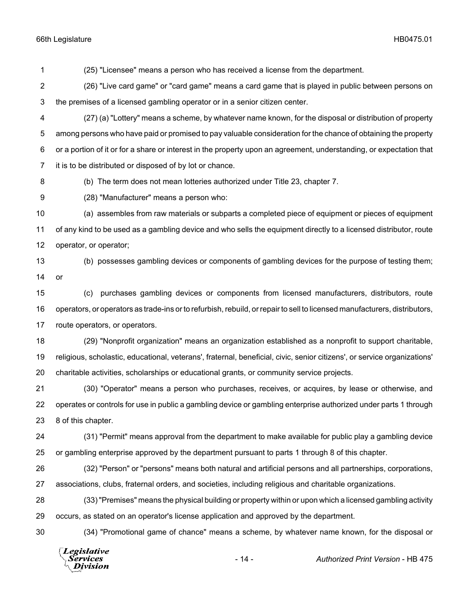(25) "Licensee" means a person who has received a license from the department.

 (26) "Live card game" or "card game" means a card game that is played in public between persons on the premises of a licensed gambling operator or in a senior citizen center.

 (27) (a) "Lottery" means a scheme, by whatever name known, for the disposal or distribution of property among persons who have paid or promised to pay valuable consideration for the chance of obtaining the property or a portion of it or for a share or interest in the property upon an agreement, understanding, or expectation that it is to be distributed or disposed of by lot or chance.

(b) The term does not mean lotteries authorized under Title 23, chapter 7.

(28) "Manufacturer" means a person who:

 (a) assembles from raw materials or subparts a completed piece of equipment or pieces of equipment of any kind to be used as a gambling device and who sells the equipment directly to a licensed distributor, route operator, or operator;

or

(b) possesses gambling devices or components of gambling devices for the purpose of testing them;

 (c) purchases gambling devices or components from licensed manufacturers, distributors, route operators, or operators as trade-ins or to refurbish, rebuild, or repair to sell to licensed manufacturers, distributors, route operators, or operators.

 (29) "Nonprofit organization" means an organization established as a nonprofit to support charitable, religious, scholastic, educational, veterans', fraternal, beneficial, civic, senior citizens', or service organizations' charitable activities, scholarships or educational grants, or community service projects.

 (30) "Operator" means a person who purchases, receives, or acquires, by lease or otherwise, and operates or controls for use in public a gambling device or gambling enterprise authorized under parts 1 through 8 of this chapter.

 (31) "Permit" means approval from the department to make available for public play a gambling device or gambling enterprise approved by the department pursuant to parts 1 through 8 of this chapter.

 (32) "Person" or "persons" means both natural and artificial persons and all partnerships, corporations, associations, clubs, fraternal orders, and societies, including religious and charitable organizations.

 (33) "Premises" means the physical building or property within or upon which a licensed gambling activity occurs, as stated on an operator's license application and approved by the department.

(34) "Promotional game of chance" means a scheme, by whatever name known, for the disposal or

Legislative Services **Division**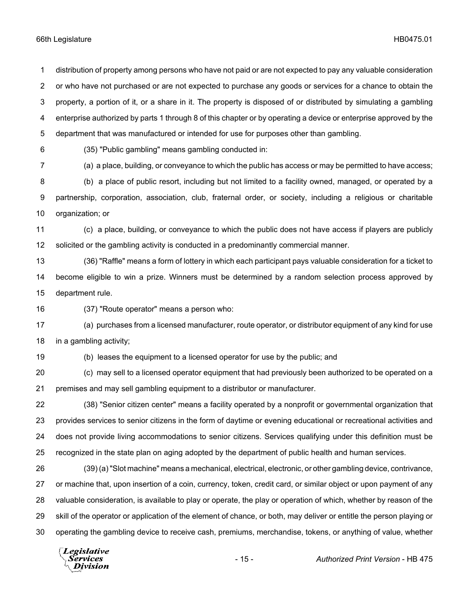distribution of property among persons who have not paid or are not expected to pay any valuable consideration or who have not purchased or are not expected to purchase any goods or services for a chance to obtain the property, a portion of it, or a share in it. The property is disposed of or distributed by simulating a gambling enterprise authorized by parts 1 through 8 of this chapter or by operating a device or enterprise approved by the department that was manufactured or intended for use for purposes other than gambling.

(35) "Public gambling" means gambling conducted in:

(a) a place, building, or conveyance to which the public has access or may be permitted to have access;

 (b) a place of public resort, including but not limited to a facility owned, managed, or operated by a partnership, corporation, association, club, fraternal order, or society, including a religious or charitable organization; or

 (c) a place, building, or conveyance to which the public does not have access if players are publicly solicited or the gambling activity is conducted in a predominantly commercial manner.

 (36) "Raffle" means a form of lottery in which each participant pays valuable consideration for a ticket to become eligible to win a prize. Winners must be determined by a random selection process approved by department rule.

(37) "Route operator" means a person who:

 (a) purchases from a licensed manufacturer, route operator, or distributor equipment of any kind for use in a gambling activity;

(b) leases the equipment to a licensed operator for use by the public; and

 (c) may sell to a licensed operator equipment that had previously been authorized to be operated on a premises and may sell gambling equipment to a distributor or manufacturer.

 (38) "Senior citizen center" means a facility operated by a nonprofit or governmental organization that provides services to senior citizens in the form of daytime or evening educational or recreational activities and does not provide living accommodations to senior citizens. Services qualifying under this definition must be recognized in the state plan on aging adopted by the department of public health and human services.

 (39) (a) "Slot machine" means a mechanical, electrical, electronic, or other gambling device, contrivance, or machine that, upon insertion of a coin, currency, token, credit card, or similar object or upon payment of any valuable consideration, is available to play or operate, the play or operation of which, whether by reason of the skill of the operator or application of the element of chance, or both, may deliver or entitle the person playing or operating the gambling device to receive cash, premiums, merchandise, tokens, or anything of value, whether

Legislative *Services* **Division**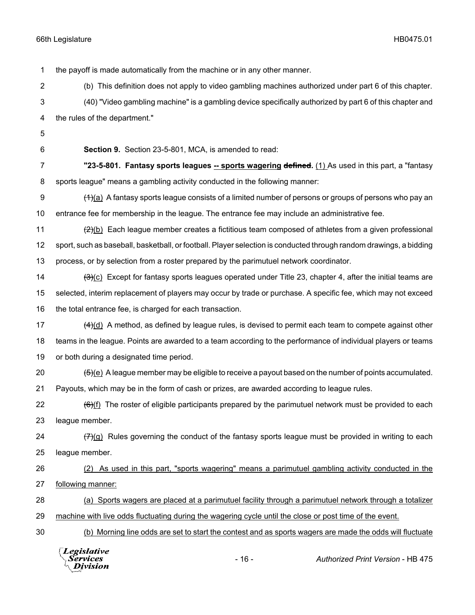the payoff is made automatically from the machine or in any other manner.

(b) This definition does not apply to video gambling machines authorized under part 6 of this chapter.

 (40) "Video gambling machine" is a gambling device specifically authorized by part 6 of this chapter and the rules of the department."

**Section 9.** Section 23-5-801, MCA, is amended to read:

**"23-5-801. Fantasy sports leagues -- sports wagering defined.** (1) As used in this part, a "fantasy sports league" means a gambling activity conducted in the following manner:

 $\left(4\right)$ (a) A fantasy sports league consists of a limited number of persons or groups of persons who pay an entrance fee for membership in the league. The entrance fee may include an administrative fee.

11  $\left(2\right)$ (b) Each league member creates a fictitious team composed of athletes from a given professional sport, such as baseball, basketball, or football. Player selection is conducted through random drawings, a bidding process, or by selection from a roster prepared by the parimutuel network coordinator.

14  $\frac{1}{(3)(c)}$  Except for fantasy sports leagues operated under Title 23, chapter 4, after the initial teams are selected, interim replacement of players may occur by trade or purchase. A specific fee, which may not exceed the total entrance fee, is charged for each transaction.

17  $(4)(d)$  A method, as defined by league rules, is devised to permit each team to compete against other teams in the league. Points are awarded to a team according to the performance of individual players or teams or both during a designated time period.

20  $(5)(e)$  A league member may be eligible to receive a payout based on the number of points accumulated. Payouts, which may be in the form of cash or prizes, are awarded according to league rules.

22  $\left(\frac{6}{1} \right)$  The roster of eligible participants prepared by the parimutuel network must be provided to each league member.

24  $\left(7\right)(q)$  Rules governing the conduct of the fantasy sports league must be provided in writing to each league member.

 (2) As used in this part, "sports wagering" means a parimutuel gambling activity conducted in the following manner:

 (a) Sports wagers are placed at a parimutuel facility through a parimutuel network through a totalizer machine with live odds fluctuating during the wagering cycle until the close or post time of the event.

30 (b) Morning line odds are set to start the contest and as sports wagers are made the odds will fluctuate



- 16 - *Authorized Print Version* - HB 475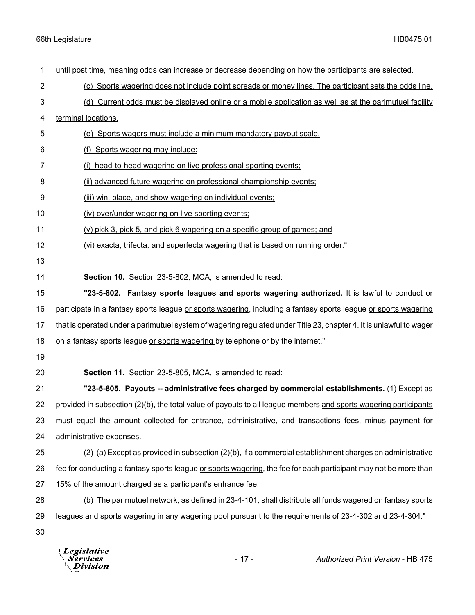| $\mathbf 1$    | until post time, meaning odds can increase or decrease depending on how the participants are selected.              |
|----------------|---------------------------------------------------------------------------------------------------------------------|
| $\overline{2}$ | (c) Sports wagering does not include point spreads or money lines. The participant sets the odds line.              |
| 3              | (d) Current odds must be displayed online or a mobile application as well as at the parimutuel facility             |
| 4              | terminal locations.                                                                                                 |
| 5              | (e) Sports wagers must include a minimum mandatory payout scale.                                                    |
| 6              | (f) Sports wagering may include:                                                                                    |
| 7              | (i) head-to-head wagering on live professional sporting events;                                                     |
| 8              | (ii) advanced future wagering on professional championship events;                                                  |
| 9              | (iii) win, place, and show wagering on individual events;                                                           |
| 10             | (iv) over/under wagering on live sporting events;                                                                   |
| 11             | (v) pick 3, pick 5, and pick 6 wagering on a specific group of games; and                                           |
| 12             | (vi) exacta, trifecta, and superfecta wagering that is based on running order."                                     |
| 13             |                                                                                                                     |
| 14             | Section 10. Section 23-5-802, MCA, is amended to read:                                                              |
| 15             | "23-5-802. Fantasy sports leagues and sports wagering authorized. It is lawful to conduct or                        |
| 16             | participate in a fantasy sports league or sports wagering, including a fantasy sports league or sports wagering     |
| 17             | that is operated under a parimutuel system of wagering regulated under Title 23, chapter 4. It is unlawful to wager |
| 18             | on a fantasy sports league or sports wagering by telephone or by the internet."                                     |
| 19             |                                                                                                                     |
| 20             | Section 11. Section 23-5-805, MCA, is amended to read:                                                              |
| 21             | "23-5-805. Payouts -- administrative fees charged by commercial establishments. (1) Except as                       |
| 22             | provided in subsection (2)(b), the total value of payouts to all league members and sports wagering participants    |
| 23             | must equal the amount collected for entrance, administrative, and transactions fees, minus payment for              |
| 24             | administrative expenses.                                                                                            |
| 25             | (2) (a) Except as provided in subsection (2)(b), if a commercial establishment charges an administrative            |
| 26             | fee for conducting a fantasy sports league or sports wagering, the fee for each participant may not be more than    |
| 27             | 15% of the amount charged as a participant's entrance fee.                                                          |
| 28             | (b) The parimutuel network, as defined in 23-4-101, shall distribute all funds wagered on fantasy sports            |
|                |                                                                                                                     |
| 29             | leagues and sports wagering in any wagering pool pursuant to the requirements of 23-4-302 and 23-4-304."            |
| 30             |                                                                                                                     |

*Legislative*<br>Services<br>*Division*